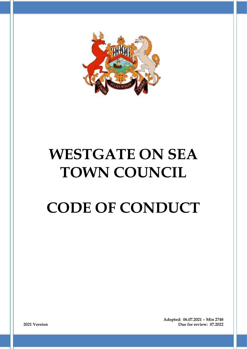

# **WESTGATE ON SEA TOWN COUNCIL**

# **CODE OF CONDUCT**

**Adopted: 06.07.2021 – Min 2748 2021 Version Due for review: 07.2022**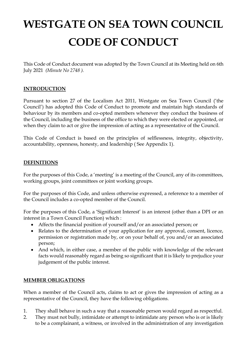# **WESTGATE ON SEA TOWN COUNCIL CODE OF CONDUCT**

This Code of Conduct document was adopted by the Town Council at its Meeting held on 6th July 2021 *(Minute No 2748 ).*

# **INTRODUCTION**

Pursuant to section 27 of the Localism Act 2011, Westgate on Sea Town Council ('the Council') has adopted this Code of Conduct to promote and maintain high standards of behaviour by its members and co-opted members whenever they conduct the business of the Council, including the business of the office to which they were elected or appointed, or when they claim to act or give the impression of acting as a representative of the Council.

This Code of Conduct is based on the principles of selflessness, integrity, objectivity, accountability, openness, honesty, and leadership ( See Appendix 1).

# **DEFINITIONS**

For the purposes of this Code, a 'meeting' is a meeting of the Council, any of its committees, working groups, joint committees or joint working groups.

For the purposes of this Code, and unless otherwise expressed, a reference to a member of the Council includes a co-opted member of the Council.

For the purposes of this Code, a 'Significant Interest' is an interest (other than a DPI or an interest in a Town Council Function) which :

- Affects the financial position of yourself and/or an associated person; or
- Relates to the determination of your application for any approval, consent, licence, permission or registration made by, or on your behalf of, you and/or an associated person;
- And which, in either case, a member of the public with knowledge of the relevant facts would reasonably regard as being so significant that it is likely to prejudice your judgement of the public interest.

#### **MEMBER OBLIGATIONS**

When a member of the Council acts, claims to act or gives the impression of acting as a representative of the Council, they have the following obligations.

- 1. They shall behave in such a way that a reasonable person would regard as respectful.
- 2. They must not bully, intimidate or attempt to intimidate any person who is or is likely to be a complainant, a witness, or involved in the administration of any investigation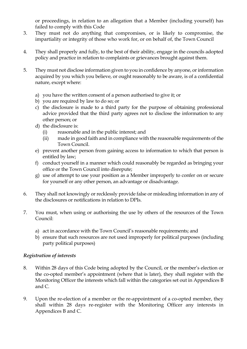or proceedings, in relation to an allegation that a Member (including yourself) has failed to comply with this Code

- 3. They must not do anything that compromises, or is likely to compromise, the impartiality or integrity of those who work for, or on behalf of, the Town Council
- 4. They shall properly and fully, to the best of their ability, engage in the councils adopted policy and practice in relation to complaints or grievances brought against them.
- 5. They must not disclose information given to you in confidence by anyone, or information acquired by you which you believe, or ought reasonably to be aware, is of a confidential nature, except where:
	- a) you have the written consent of a person authorised to give it; or
	- b) you are required by law to do so; or
	- c) the disclosure is made to a third party for the purpose of obtaining professional advice provided that the third party agrees not to disclose the information to any other person; or
	- d) the disclosure is:
		- (i) reasonable and in the public interest; and
		- (ii) made in good faith and in compliance with the reasonable requirements of the Town Council.
	- e) prevent another person from gaining access to information to which that person is entitled by law;
	- f) conduct yourself in a manner which could reasonably be regarded as bringing your office or the Town Council into disrepute;
	- g) use of attempt to use your position as a Member improperly to confer on or secure for yourself or any other person, an advantage or disadvantage.
- 6. They shall not knowingly or recklessly provide false or misleading information in any of the disclosures or notifications in relation to DPIs.
- 7. You must, when using or authorising the use by others of the resources of the Town Council:
	- a) act in accordance with the Town Council's reasonable requirements; and
	- b) ensure that such resources are not used improperly for political purposes (including party political purposes)

#### *Registration of interests*

- 8. Within 28 days of this Code being adopted by the Council, or the member's election or the co-opted member's appointment (where that is later), they shall register with the Monitoring Officer the interests which fall within the categories set out in Appendices B and C.
- 9. Upon the re-election of a member or the re-appointment of a co-opted member, they shall within 28 days re-register with the Monitoring Officer any interests in Appendices B and C.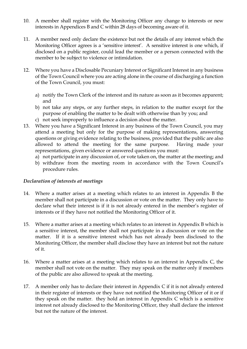- 10. A member shall register with the Monitoring Officer any change to interests or new interests in Appendices B and C within 28 days of becoming aware of it.
- 11. A member need only declare the existence but not the details of any interest which the Monitoring Officer agrees is a 'sensitive interest'. A sensitive interest is one which, if disclosed on a public register, could lead the member or a person connected with the member to be subject to violence or intimidation.
- 12. Where you have a Disclosable Pecuniary Interest or Significant Interest in any business of the Town Council where you are acting alone in the course of discharging a function of the Town Council, you must:
	- a) notify the Town Clerk of the interest and its nature as soon as it becomes apparent; and
	- b) not take any steps, or any further steps, in relation to the matter except for the purpose of enabling the matter to be dealt with otherwise than by you; and
	- c) not seek improperly to influence a decision about the matter.
- 13. Where you have a Significant Interest in any business of the Town Council, you may attend a meeting but only for the purpose of making representations, answering questions or giving evidence relating to the business, provided that the public are also allowed to attend the meeting for the same purpose. Having made your representations, given evidence or answered questions you must:
	- a) not participate in any discussion of, or vote taken on, the matter at the meeting; and
	- b) withdraw from the meeting room in accordance with the Town Council's procedure rules.

#### *Declaration of interests at meetings*

- 14. Where a matter arises at a meeting which relates to an interest in Appendix B the member shall not participate in a discussion or vote on the matter. They only have to declare what their interest is if it is not already entered in the member's register of interests or if they have not notified the Monitoring Officer of it.
- 15. Where a matter arises at a meeting which relates to an interest in Appendix B which is a sensitive interest, the member shall not participate in a discussion or vote on the matter. If it is a sensitive interest which has not already been disclosed to the Monitoring Officer, the member shall disclose they have an interest but not the nature of it.
- 16. Where a matter arises at a meeting which relates to an interest in Appendix C, the member shall not vote on the matter. They may speak on the matter only if members of the public are also allowed to speak at the meeting.
- 17. A member only has to declare their interest in Appendix C if it is not already entered in their register of interests or they have not notified the Monitoring Officer of it or if they speak on the matter. they hold an interest in Appendix C which is a sensitive interest not already disclosed to the Monitoring Officer, they shall declare the interest but not the nature of the interest.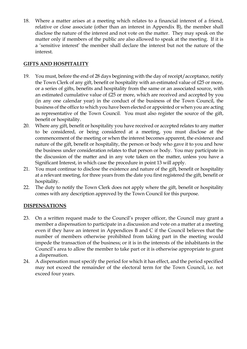18. Where a matter arises at a meeting which relates to a financial interest of a friend, relative or close associate (other than an interest in Appendix B), the member shall disclose the nature of the interest and not vote on the matter. They may speak on the matter only if members of the public are also allowed to speak at the meeting. If it is a 'sensitive interest' the member shall declare the interest but not the nature of the interest.

### **GIFTS AND HOSPITALITY**

- 19. You must, before the end of 28 days beginning with the day of receipt/acceptance, notify the Town Clerk of any gift, benefit or hospitality with an estimated value of £25 or more, or a series of gifts, benefits and hospitality from the same or an associated source, with an estimated cumulative value of £25 or more, which are received and accepted by you (in any one calendar year) in the conduct of the business of the Town Council, the business of the office to which you have been elected or appointed or when you are acting as representative of the Town Council. You must also register the source of the gift, benefit or hospitality.
- 20. Where any gift, benefit or hospitality you have received or accepted relates to any matter to be considered, or being considered at a meeting, you must disclose at the commencement of the meeting or when the interest becomes apparent, the existence and nature of the gift, benefit or hospitality, the person or body who gave it to you and how the business under consideration relates to that person or body. You may participate in the discussion of the matter and in any vote taken on the matter, unless you have a Significant Interest, in which case the procedure in point 13 will apply.
- 21. You must continue to disclose the existence and nature of the gift, benefit or hospitality at a relevant meeting, for three years from the date you first registered the gift, benefit or hospitality.
- 22. The duty to notify the Town Clerk does not apply where the gift, benefit or hospitality comes with any description approved by the Town Council for this purpose.

# **DISPENSATIONS**

- 23. On a written request made to the Council's proper officer, the Council may grant a member a dispensation to participate in a discussion and vote on a matter at a meeting even if they have an interest in Appendices B and C if the Council believes that the number of members otherwise prohibited from taking part in the meeting would impede the transaction of the business; or it is in the interests of the inhabitants in the Council's area to allow the member to take part or it is otherwise appropriate to grant a dispensation.
- 24. A dispensation must specify the period for which it has effect, and the period specified may not exceed the remainder of the electoral term for the Town Council, i.e. not exceed four years.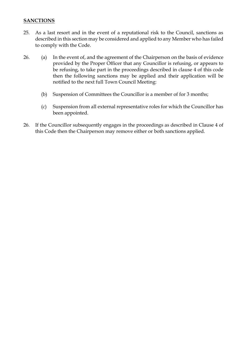#### **SANCTIONS**

- 25. As a last resort and in the event of a reputational risk to the Council, sanctions as described in this section may be considered and applied to any Member who has failed to comply with the Code.
- 26. (a) In the event of, and the agreement of the Chairperson on the basis of evidence provided by the Proper Officer that any Councillor is refusing, or appears to be refusing, to take part in the proceedings described in clause 4 of this code then the following sanctions may be applied and their application will be notified to the next full Town Council Meeting:
	- (b) Suspension of Committees the Councillor is a member of for 3 months;
	- (c) Suspension from all external representative roles for which the Councillor has been appointed.
- 26. If the Councillor subsequently engages in the proceedings as described in Clause 4 of this Code then the Chairperson may remove either or both sanctions applied.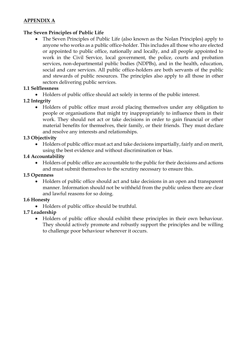### **APPENDIX A**

#### **The Seven Principles of Public Life**

• The Seven Principles of Public Life (also known as the Nolan Principles) apply to anyone who works as a public office-holder. This includes all those who are elected or appointed to public office, nationally and locally, and all people appointed to work in the Civil Service, local government, the police, courts and probation services, non-departmental public bodies (NDPBs), and in the health, education, social and care services. All public office-holders are both servants of the public and stewards of public resources. The principles also apply to all those in other sectors delivering public services.

### **1.1 Selflessness**

• Holders of public office should act solely in terms of the public interest.

# **1.2 Integrity**

• Holders of public office must avoid placing themselves under any obligation to people or organisations that might try inappropriately to influence them in their work. They should not act or take decisions in order to gain financial or other material benefits for themselves, their family, or their friends. They must declare and resolve any interests and relationships.

#### **1.3 Objectivity**

• Holders of public office must act and take decisions impartially, fairly and on merit, using the best evidence and without discrimination or bias.

#### **1.4 Accountability**

• Holders of public office are accountable to the public for their decisions and actions and must submit themselves to the scrutiny necessary to ensure this.

#### **1.5 Openness**

• Holders of public office should act and take decisions in an open and transparent manner. Information should not be withheld from the public unless there are clear and lawful reasons for so doing.

#### **1.6 Honesty**

• Holders of public office should be truthful.

#### **1.7 Leadership**

• Holders of public office should exhibit these principles in their own behaviour. They should actively promote and robustly support the principles and be willing to challenge poor behaviour wherever it occurs.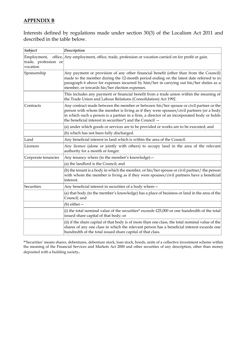#### **APPENDIX B**

Interests defined by regulations made under section 30(3) of the Localism Act 2011 and described in the table below.

| Subject                                         | Description                                                                                                                                                                                                                                                                                                                                  |
|-------------------------------------------------|----------------------------------------------------------------------------------------------------------------------------------------------------------------------------------------------------------------------------------------------------------------------------------------------------------------------------------------------|
| Employment,<br>trade, profession or<br>vocation | office, Any employment, office, trade, profession or vocation carried on for profit or gain.                                                                                                                                                                                                                                                 |
| Sponsorship                                     | Any payment or provision of any other financial benefit (other than from the Council)<br>made to the member during the 12-month period ending on the latest date referred to in<br>paragraph 6 above for expenses incurred by him/her in carrying out his/her duties as a<br>member, or towards his/her election expenses.                   |
|                                                 | This includes any payment or financial benefit from a trade union within the meaning of<br>the Trade Union and Labour Relations (Consolidation) Act 1992.                                                                                                                                                                                    |
| Contracts                                       | Any contract made between the member or between his/her spouse or civil partner or the<br>person with whom the member is living as if they were spouses/civil partners (or a body<br>in which such a person is a partner in a firm, a director of an incorporated body or holds<br>the beneficial interest in securities*) and the Council - |
|                                                 | (a) under which goods or services are to be provided or works are to be executed; and                                                                                                                                                                                                                                                        |
|                                                 | (b) which has not been fully discharged.                                                                                                                                                                                                                                                                                                     |
| Land                                            | Any beneficial interest in land which is within the area of the Council.                                                                                                                                                                                                                                                                     |
| Licences                                        | Any licence (alone or jointly with others) to occupy land in the area of the relevant<br>authority for a month or longer.                                                                                                                                                                                                                    |
| Corporate tenancies                             | Any tenancy where (to the member's knowledge) -                                                                                                                                                                                                                                                                                              |
|                                                 | (a) the landlord is the Council; and                                                                                                                                                                                                                                                                                                         |
|                                                 | (b) the tenant is a body in which the member, or his/her spouse or civil partner/ the person<br>with whom the member is living as if they were spouses/civil partners have a beneficial<br>interest.                                                                                                                                         |
| Securities                                      | Any beneficial interest in securities of a body where -                                                                                                                                                                                                                                                                                      |
|                                                 | (a) that body (to the member's knowledge) has a place of business or land in the area of the<br>Council; and                                                                                                                                                                                                                                 |
|                                                 | $(b)$ either $-$                                                                                                                                                                                                                                                                                                                             |
|                                                 | (i) the total nominal value of the securities* exceeds $£25,000$ or one hundredth of the total<br>issued share capital of that body; or                                                                                                                                                                                                      |
|                                                 | (ii) if the share capital of that body is of more than one class, the total nominal value of the<br>shares of any one class in which the relevant person has a beneficial interest exceeds one<br>hundredth of the total issued share capital of that class.                                                                                 |

**\*'**Securities' means shares, debentures, debenture stock, loan stock, bonds, units of a collective investment scheme within the meaning of the Financial Services and Markets Act 2000 and other securities of any description, other than money deposited with a building society**.**